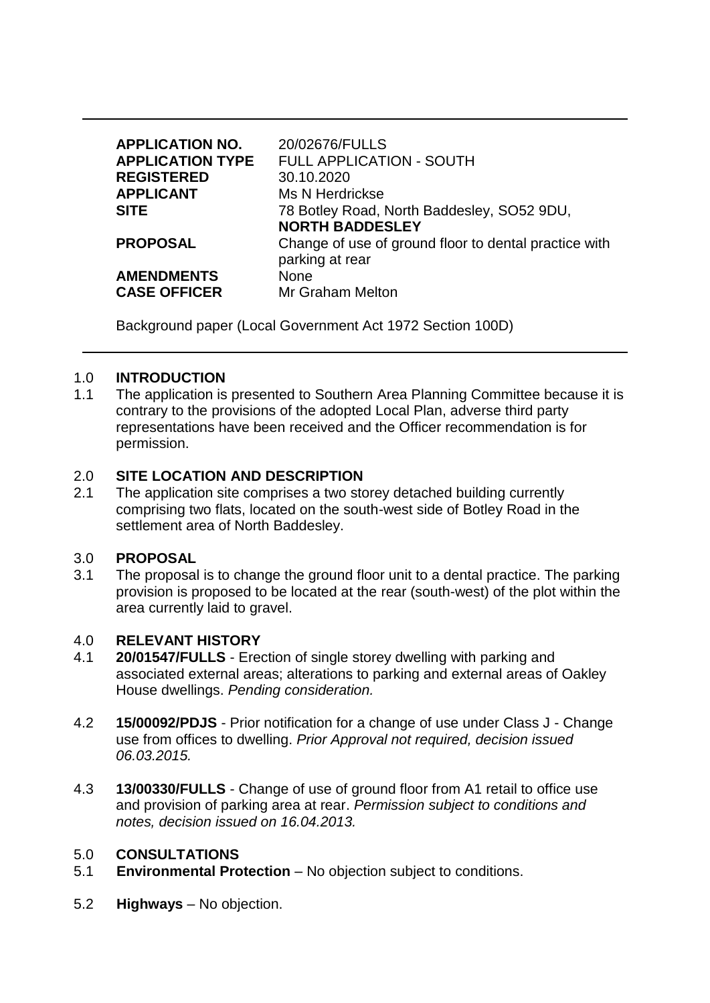| <b>APPLICATION NO.</b><br><b>APPLICATION TYPE</b><br><b>REGISTERED</b><br><b>APPLICANT</b><br><b>SITE</b> | 20/02676/FULLS<br><b>FULL APPLICATION - SOUTH</b><br>30.10.2020<br>Ms N Herdrickse<br>78 Botley Road, North Baddesley, SO52 9DU,<br><b>NORTH BADDESLEY</b> |
|-----------------------------------------------------------------------------------------------------------|------------------------------------------------------------------------------------------------------------------------------------------------------------|
| <b>PROPOSAL</b>                                                                                           | Change of use of ground floor to dental practice with<br>parking at rear                                                                                   |
| <b>AMENDMENTS</b><br><b>CASE OFFICER</b>                                                                  | None<br><b>Mr Graham Melton</b>                                                                                                                            |

Background paper (Local Government Act 1972 Section 100D)

### 1.0 **INTRODUCTION**

1.1 The application is presented to Southern Area Planning Committee because it is contrary to the provisions of the adopted Local Plan, adverse third party representations have been received and the Officer recommendation is for permission.

### 2.0 **SITE LOCATION AND DESCRIPTION**

2.1 The application site comprises a two storey detached building currently comprising two flats, located on the south-west side of Botley Road in the settlement area of North Baddesley.

#### 3.0 **PROPOSAL**

3.1 The proposal is to change the ground floor unit to a dental practice. The parking provision is proposed to be located at the rear (south-west) of the plot within the area currently laid to gravel.

# 4.0 **RELEVANT HISTORY**

- 4.1 **20/01547/FULLS**  Erection of single storey dwelling with parking and associated external areas; alterations to parking and external areas of Oakley House dwellings. *Pending consideration.*
- 4.2 **15/00092/PDJS** Prior notification for a change of use under Class J Change use from offices to dwelling. *Prior Approval not required, decision issued 06.03.2015.*
- 4.3 **13/00330/FULLS** Change of use of ground floor from A1 retail to office use and provision of parking area at rear. *Permission subject to conditions and notes, decision issued on 16.04.2013.*

#### 5.0 **CONSULTATIONS**

- 5.1 **Environmental Protection**  No objection subject to conditions.
- 5.2 **Highways**  No objection.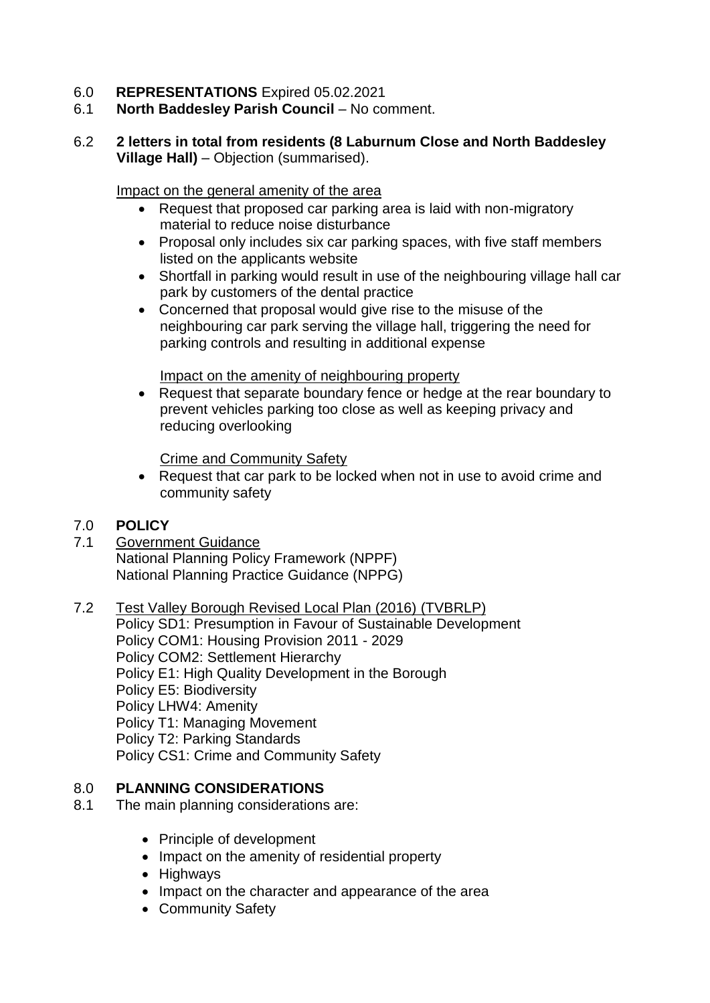- 6.0 **REPRESENTATIONS** Expired 05.02.2021
- 6.1 **North Baddesley Parish Council**  No comment.
- 6.2 **2 letters in total from residents (8 Laburnum Close and North Baddesley Village Hall)** – Objection (summarised).

Impact on the general amenity of the area

- Request that proposed car parking area is laid with non-migratory material to reduce noise disturbance
- Proposal only includes six car parking spaces, with five staff members listed on the applicants website
- Shortfall in parking would result in use of the neighbouring village hall car park by customers of the dental practice
- Concerned that proposal would give rise to the misuse of the neighbouring car park serving the village hall, triggering the need for parking controls and resulting in additional expense

Impact on the amenity of neighbouring property

• Request that separate boundary fence or hedge at the rear boundary to prevent vehicles parking too close as well as keeping privacy and reducing overlooking

Crime and Community Safety

 Request that car park to be locked when not in use to avoid crime and community safety

# 7.0 **POLICY**

- 7.1 Government Guidance National Planning Policy Framework (NPPF) National Planning Practice Guidance (NPPG)
- 7.2 Test Valley Borough Revised Local Plan (2016) (TVBRLP) Policy SD1: Presumption in Favour of Sustainable Development Policy COM1: Housing Provision 2011 - 2029 Policy COM2: Settlement Hierarchy Policy E1: High Quality Development in the Borough Policy E5: Biodiversity Policy LHW4: Amenity Policy T1: Managing Movement Policy T2: Parking Standards Policy CS1: Crime and Community Safety

# 8.0 **PLANNING CONSIDERATIONS**

- 8.1 The main planning considerations are:
	- Principle of development
	- Impact on the amenity of residential property
	- Highways
	- Impact on the character and appearance of the area
	- Community Safety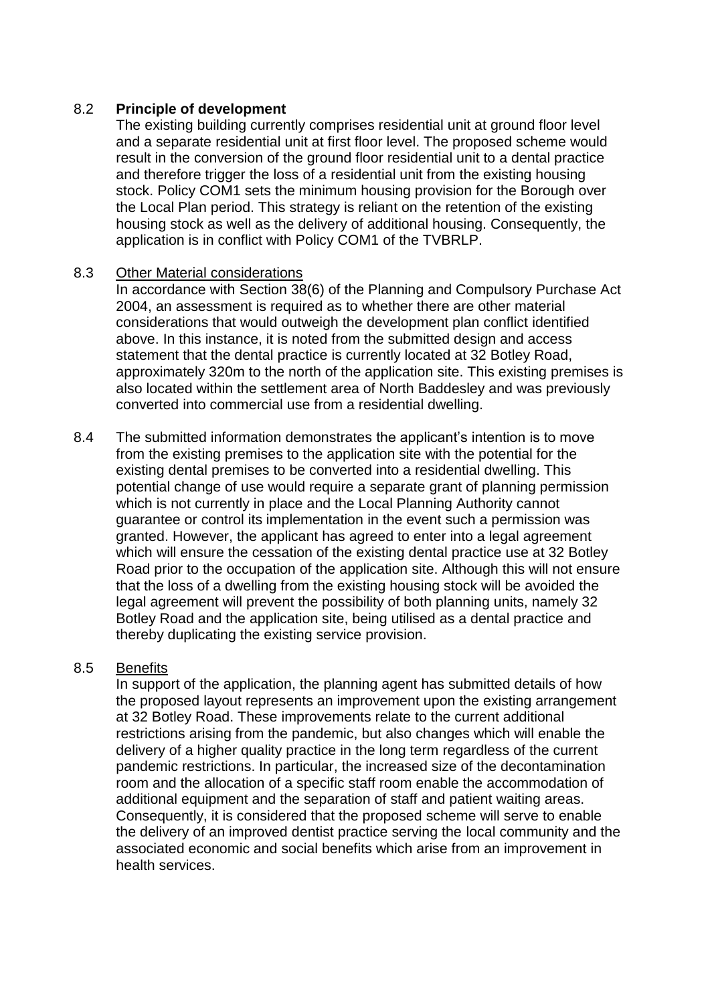### 8.2 **Principle of development**

The existing building currently comprises residential unit at ground floor level and a separate residential unit at first floor level. The proposed scheme would result in the conversion of the ground floor residential unit to a dental practice and therefore trigger the loss of a residential unit from the existing housing stock. Policy COM1 sets the minimum housing provision for the Borough over the Local Plan period. This strategy is reliant on the retention of the existing housing stock as well as the delivery of additional housing. Consequently, the application is in conflict with Policy COM1 of the TVBRLP.

#### 8.3 Other Material considerations

In accordance with Section 38(6) of the Planning and Compulsory Purchase Act 2004, an assessment is required as to whether there are other material considerations that would outweigh the development plan conflict identified above. In this instance, it is noted from the submitted design and access statement that the dental practice is currently located at 32 Botley Road, approximately 320m to the north of the application site. This existing premises is also located within the settlement area of North Baddesley and was previously converted into commercial use from a residential dwelling.

8.4 The submitted information demonstrates the applicant's intention is to move from the existing premises to the application site with the potential for the existing dental premises to be converted into a residential dwelling. This potential change of use would require a separate grant of planning permission which is not currently in place and the Local Planning Authority cannot guarantee or control its implementation in the event such a permission was granted. However, the applicant has agreed to enter into a legal agreement which will ensure the cessation of the existing dental practice use at 32 Botley Road prior to the occupation of the application site. Although this will not ensure that the loss of a dwelling from the existing housing stock will be avoided the legal agreement will prevent the possibility of both planning units, namely 32 Botley Road and the application site, being utilised as a dental practice and thereby duplicating the existing service provision.

### 8.5 Benefits

In support of the application, the planning agent has submitted details of how the proposed layout represents an improvement upon the existing arrangement at 32 Botley Road. These improvements relate to the current additional restrictions arising from the pandemic, but also changes which will enable the delivery of a higher quality practice in the long term regardless of the current pandemic restrictions. In particular, the increased size of the decontamination room and the allocation of a specific staff room enable the accommodation of additional equipment and the separation of staff and patient waiting areas. Consequently, it is considered that the proposed scheme will serve to enable the delivery of an improved dentist practice serving the local community and the associated economic and social benefits which arise from an improvement in health services.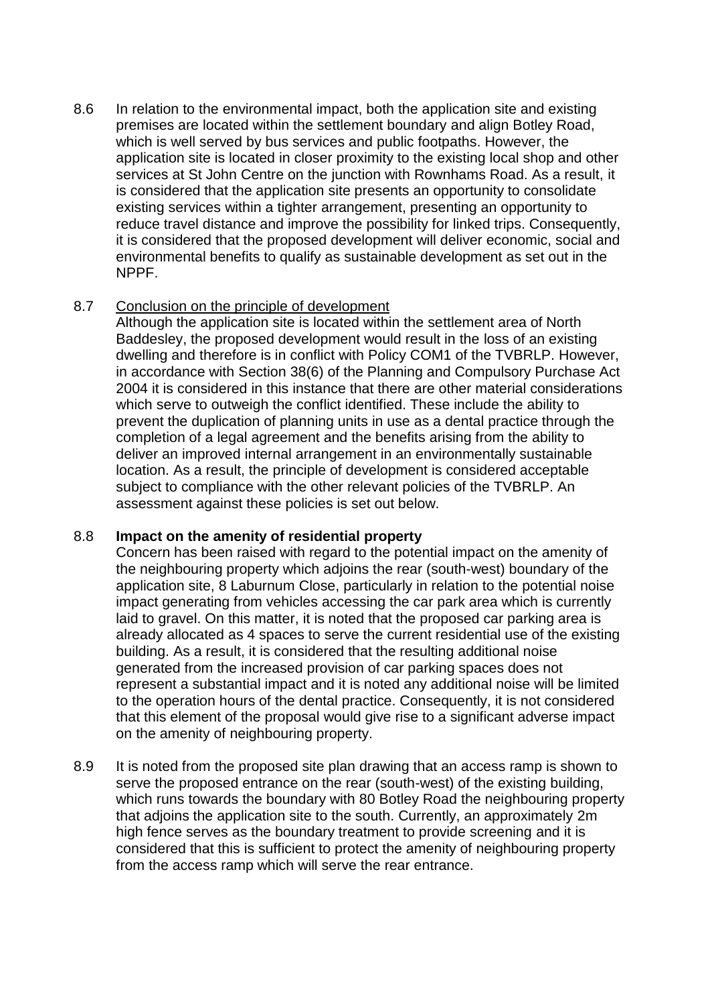8.6 In relation to the environmental impact, both the application site and existing premises are located within the settlement boundary and align Botley Road, which is well served by bus services and public footpaths. However, the application site is located in closer proximity to the existing local shop and other services at St John Centre on the junction with Rownhams Road. As a result, it is considered that the application site presents an opportunity to consolidate existing services within a tighter arrangement, presenting an opportunity to reduce travel distance and improve the possibility for linked trips. Consequently, it is considered that the proposed development will deliver economic, social and environmental benefits to qualify as sustainable development as set out in the NPPF.

### 8.7 Conclusion on the principle of development

Although the application site is located within the settlement area of North Baddesley, the proposed development would result in the loss of an existing dwelling and therefore is in conflict with Policy COM1 of the TVBRLP. However, in accordance with Section 38(6) of the Planning and Compulsory Purchase Act 2004 it is considered in this instance that there are other material considerations which serve to outweigh the conflict identified. These include the ability to prevent the duplication of planning units in use as a dental practice through the completion of a legal agreement and the benefits arising from the ability to deliver an improved internal arrangement in an environmentally sustainable location. As a result, the principle of development is considered acceptable subject to compliance with the other relevant policies of the TVBRLP. An assessment against these policies is set out below.

# 8.8 **Impact on the amenity of residential property**

Concern has been raised with regard to the potential impact on the amenity of the neighbouring property which adjoins the rear (south-west) boundary of the application site, 8 Laburnum Close, particularly in relation to the potential noise impact generating from vehicles accessing the car park area which is currently laid to gravel. On this matter, it is noted that the proposed car parking area is already allocated as 4 spaces to serve the current residential use of the existing building. As a result, it is considered that the resulting additional noise generated from the increased provision of car parking spaces does not represent a substantial impact and it is noted any additional noise will be limited to the operation hours of the dental practice. Consequently, it is not considered that this element of the proposal would give rise to a significant adverse impact on the amenity of neighbouring property.

8.9 It is noted from the proposed site plan drawing that an access ramp is shown to serve the proposed entrance on the rear (south-west) of the existing building, which runs towards the boundary with 80 Botley Road the neighbouring property that adjoins the application site to the south. Currently, an approximately 2m high fence serves as the boundary treatment to provide screening and it is considered that this is sufficient to protect the amenity of neighbouring property from the access ramp which will serve the rear entrance.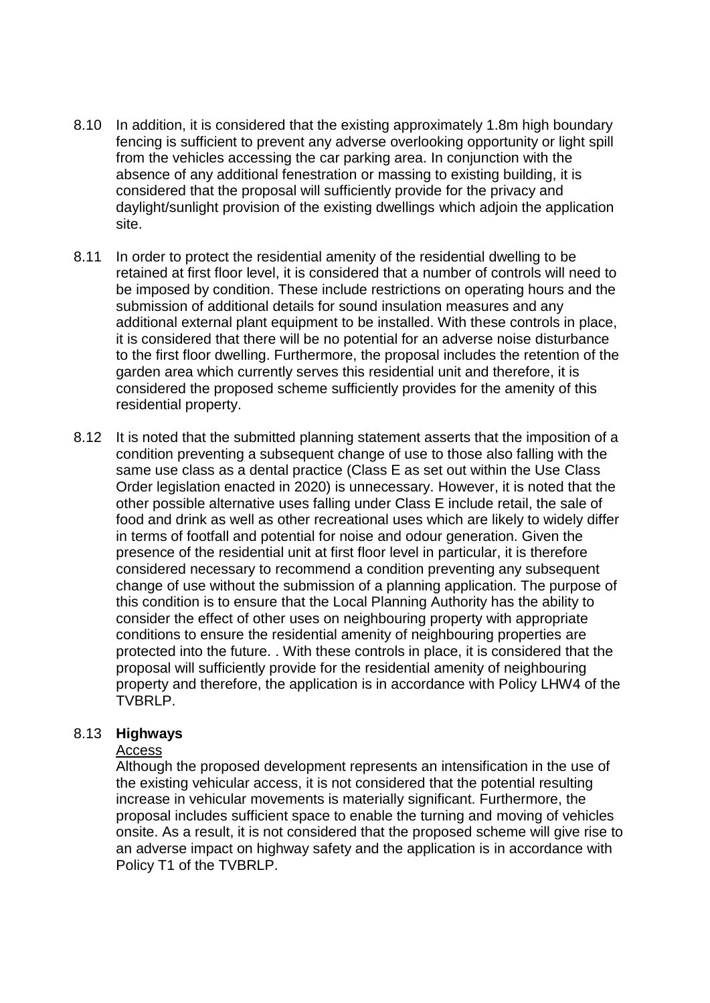- 8.10 In addition, it is considered that the existing approximately 1.8m high boundary fencing is sufficient to prevent any adverse overlooking opportunity or light spill from the vehicles accessing the car parking area. In conjunction with the absence of any additional fenestration or massing to existing building, it is considered that the proposal will sufficiently provide for the privacy and daylight/sunlight provision of the existing dwellings which adjoin the application site.
- 8.11 In order to protect the residential amenity of the residential dwelling to be retained at first floor level, it is considered that a number of controls will need to be imposed by condition. These include restrictions on operating hours and the submission of additional details for sound insulation measures and any additional external plant equipment to be installed. With these controls in place, it is considered that there will be no potential for an adverse noise disturbance to the first floor dwelling. Furthermore, the proposal includes the retention of the garden area which currently serves this residential unit and therefore, it is considered the proposed scheme sufficiently provides for the amenity of this residential property.
- 8.12 It is noted that the submitted planning statement asserts that the imposition of a condition preventing a subsequent change of use to those also falling with the same use class as a dental practice (Class E as set out within the Use Class Order legislation enacted in 2020) is unnecessary. However, it is noted that the other possible alternative uses falling under Class E include retail, the sale of food and drink as well as other recreational uses which are likely to widely differ in terms of footfall and potential for noise and odour generation. Given the presence of the residential unit at first floor level in particular, it is therefore considered necessary to recommend a condition preventing any subsequent change of use without the submission of a planning application. The purpose of this condition is to ensure that the Local Planning Authority has the ability to consider the effect of other uses on neighbouring property with appropriate conditions to ensure the residential amenity of neighbouring properties are protected into the future. . With these controls in place, it is considered that the proposal will sufficiently provide for the residential amenity of neighbouring property and therefore, the application is in accordance with Policy LHW4 of the TVBRLP.

#### 8.13 **Highways**

#### Access

Although the proposed development represents an intensification in the use of the existing vehicular access, it is not considered that the potential resulting increase in vehicular movements is materially significant. Furthermore, the proposal includes sufficient space to enable the turning and moving of vehicles onsite. As a result, it is not considered that the proposed scheme will give rise to an adverse impact on highway safety and the application is in accordance with Policy T1 of the TVBRLP.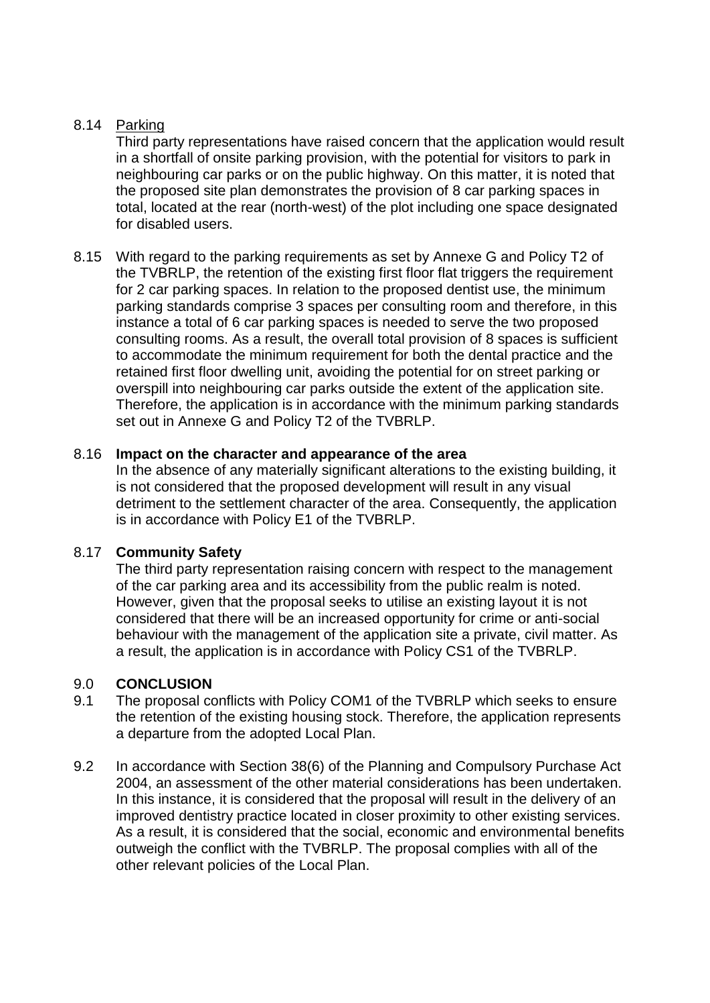# 8.14 Parking

Third party representations have raised concern that the application would result in a shortfall of onsite parking provision, with the potential for visitors to park in neighbouring car parks or on the public highway. On this matter, it is noted that the proposed site plan demonstrates the provision of 8 car parking spaces in total, located at the rear (north-west) of the plot including one space designated for disabled users.

8.15 With regard to the parking requirements as set by Annexe G and Policy T2 of the TVBRLP, the retention of the existing first floor flat triggers the requirement for 2 car parking spaces. In relation to the proposed dentist use, the minimum parking standards comprise 3 spaces per consulting room and therefore, in this instance a total of 6 car parking spaces is needed to serve the two proposed consulting rooms. As a result, the overall total provision of 8 spaces is sufficient to accommodate the minimum requirement for both the dental practice and the retained first floor dwelling unit, avoiding the potential for on street parking or overspill into neighbouring car parks outside the extent of the application site. Therefore, the application is in accordance with the minimum parking standards set out in Annexe G and Policy T2 of the TVBRLP.

### 8.16 **Impact on the character and appearance of the area**

In the absence of any materially significant alterations to the existing building, it is not considered that the proposed development will result in any visual detriment to the settlement character of the area. Consequently, the application is in accordance with Policy E1 of the TVBRLP.

# 8.17 **Community Safety**

The third party representation raising concern with respect to the management of the car parking area and its accessibility from the public realm is noted. However, given that the proposal seeks to utilise an existing layout it is not considered that there will be an increased opportunity for crime or anti-social behaviour with the management of the application site a private, civil matter. As a result, the application is in accordance with Policy CS1 of the TVBRLP.

# 9.0 **CONCLUSION**

- 9.1 The proposal conflicts with Policy COM1 of the TVBRLP which seeks to ensure the retention of the existing housing stock. Therefore, the application represents a departure from the adopted Local Plan.
- 9.2 In accordance with Section 38(6) of the Planning and Compulsory Purchase Act 2004, an assessment of the other material considerations has been undertaken. In this instance, it is considered that the proposal will result in the delivery of an improved dentistry practice located in closer proximity to other existing services. As a result, it is considered that the social, economic and environmental benefits outweigh the conflict with the TVBRLP. The proposal complies with all of the other relevant policies of the Local Plan.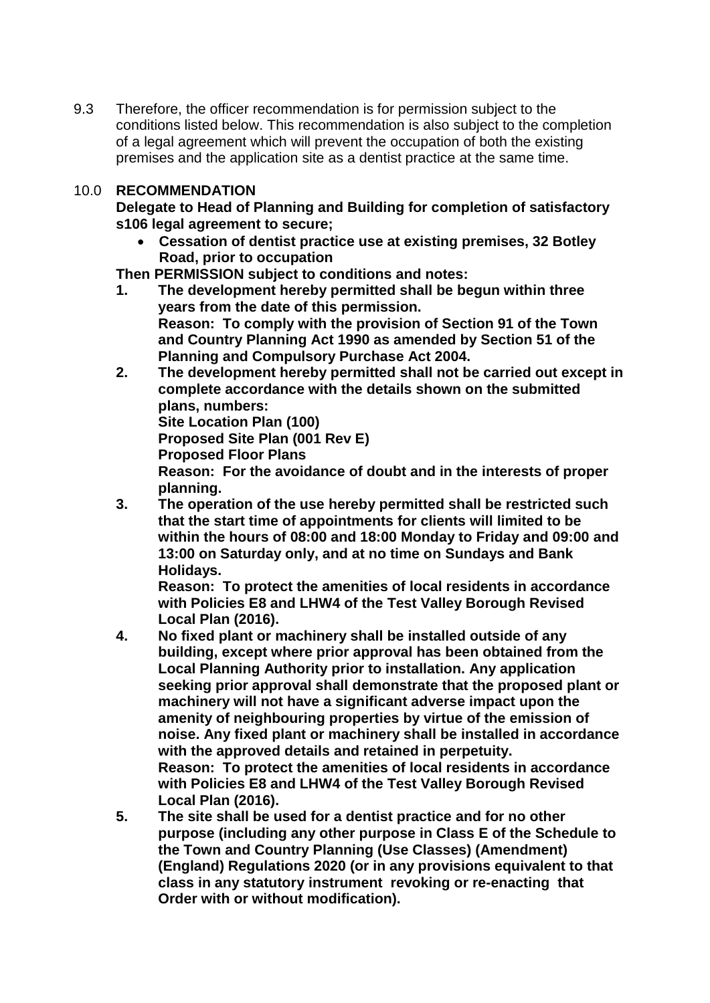9.3 Therefore, the officer recommendation is for permission subject to the conditions listed below. This recommendation is also subject to the completion of a legal agreement which will prevent the occupation of both the existing premises and the application site as a dentist practice at the same time.

# 10.0 **RECOMMENDATION**

**Delegate to Head of Planning and Building for completion of satisfactory s106 legal agreement to secure;**

 **Cessation of dentist practice use at existing premises, 32 Botley Road, prior to occupation**

**Then PERMISSION subject to conditions and notes:**

- **1. The development hereby permitted shall be begun within three years from the date of this permission. Reason: To comply with the provision of Section 91 of the Town and Country Planning Act 1990 as amended by Section 51 of the Planning and Compulsory Purchase Act 2004.**
- **2. The development hereby permitted shall not be carried out except in complete accordance with the details shown on the submitted plans, numbers: Site Location Plan (100)**

**Proposed Site Plan (001 Rev E) Proposed Floor Plans**

**Reason: For the avoidance of doubt and in the interests of proper planning.** 

**3. The operation of the use hereby permitted shall be restricted such that the start time of appointments for clients will limited to be within the hours of 08:00 and 18:00 Monday to Friday and 09:00 and 13:00 on Saturday only, and at no time on Sundays and Bank Holidays.**

**Reason: To protect the amenities of local residents in accordance with Policies E8 and LHW4 of the Test Valley Borough Revised Local Plan (2016).**

- **4. No fixed plant or machinery shall be installed outside of any building, except where prior approval has been obtained from the Local Planning Authority prior to installation. Any application seeking prior approval shall demonstrate that the proposed plant or machinery will not have a significant adverse impact upon the amenity of neighbouring properties by virtue of the emission of noise. Any fixed plant or machinery shall be installed in accordance with the approved details and retained in perpetuity. Reason: To protect the amenities of local residents in accordance with Policies E8 and LHW4 of the Test Valley Borough Revised Local Plan (2016).**
- **5. The site shall be used for a dentist practice and for no other purpose (including any other purpose in Class E of the Schedule to the Town and Country Planning (Use Classes) (Amendment) (England) Regulations 2020 (or in any provisions equivalent to that class in any statutory instrument revoking or re-enacting that Order with or without modification).**